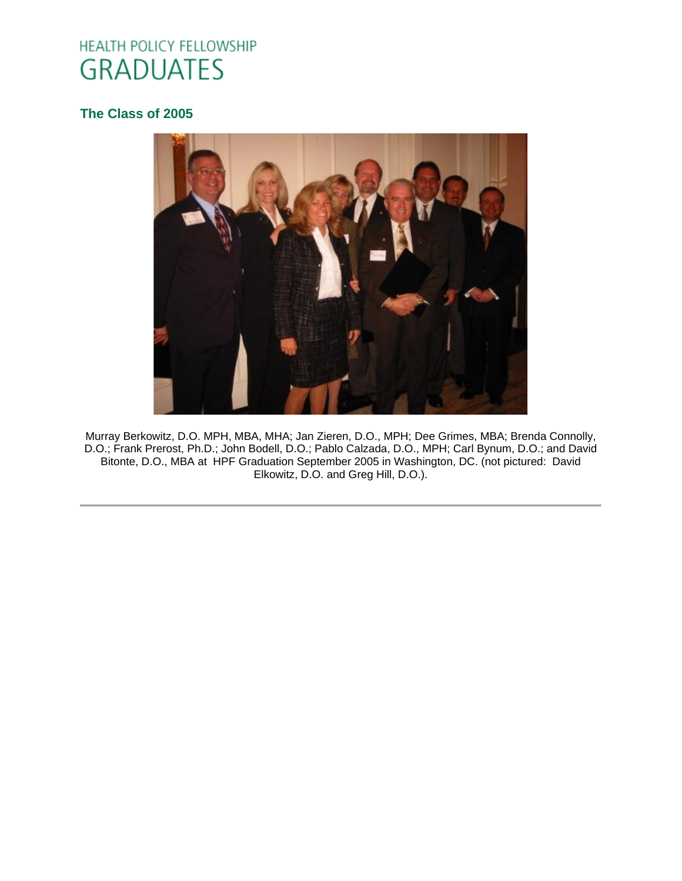# HEALTH POLICY FELLOWSHIP **GRADUATES**

# **[The Class of 2005](http://www.oucom.ohiou.edu/hpf/Graduates2010.htm)**



Murray Berkowitz, D.O. MPH, MBA, MHA; Jan Zieren, D.O., MPH; Dee Grimes, MBA; Brenda Connolly, D.O.; Frank Prerost, Ph.D.; John Bodell, D.O.; Pablo Calzada, D.O., MPH; Carl Bynum, D.O.; and David Bitonte, D.O., MBA at HPF Graduation September 2005 in Washington, DC. (not pictured: David Elkowitz, D.O. and Greg Hill, D.O.).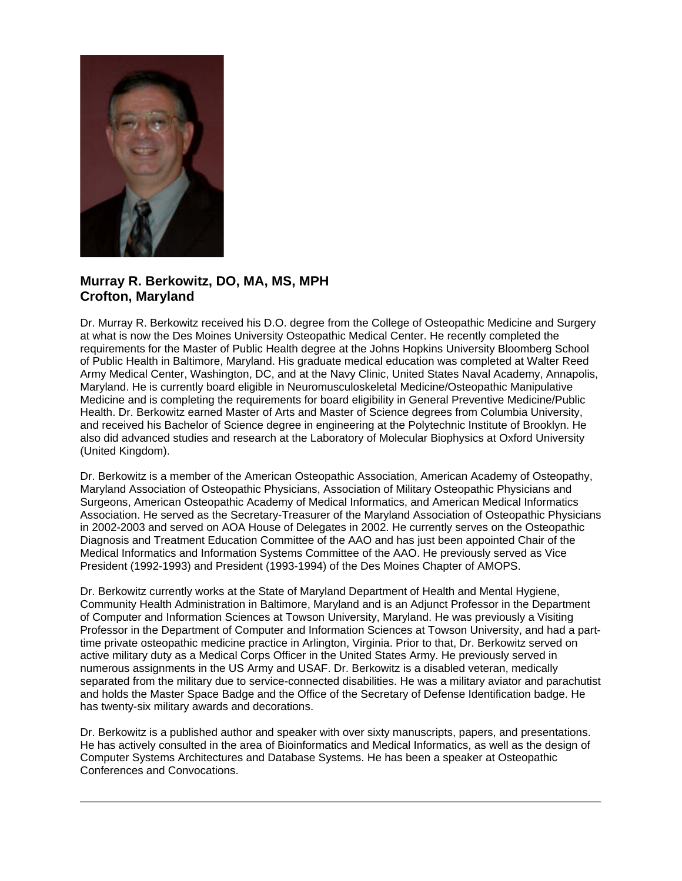

## **Murray R. Berkowitz, DO, MA, MS, MPH Crofton, Maryland**

Dr. Murray R. Berkowitz received his D.O. degree from the College of Osteopathic Medicine and Surgery at what is now the Des Moines University Osteopathic Medical Center. He recently completed the requirements for the Master of Public Health degree at the Johns Hopkins University Bloomberg School of Public Health in Baltimore, Maryland. His graduate medical education was completed at Walter Reed Army Medical Center, Washington, DC, and at the Navy Clinic, United States Naval Academy, Annapolis, Maryland. He is currently board eligible in Neuromusculoskeletal Medicine/Osteopathic Manipulative Medicine and is completing the requirements for board eligibility in General Preventive Medicine/Public Health. Dr. Berkowitz earned Master of Arts and Master of Science degrees from Columbia University, and received his Bachelor of Science degree in engineering at the Polytechnic Institute of Brooklyn. He also did advanced studies and research at the Laboratory of Molecular Biophysics at Oxford University (United Kingdom).

Dr. Berkowitz is a member of the American Osteopathic Association, American Academy of Osteopathy, Maryland Association of Osteopathic Physicians, Association of Military Osteopathic Physicians and Surgeons, American Osteopathic Academy of Medical Informatics, and American Medical Informatics Association. He served as the Secretary-Treasurer of the Maryland Association of Osteopathic Physicians in 2002-2003 and served on AOA House of Delegates in 2002. He currently serves on the Osteopathic Diagnosis and Treatment Education Committee of the AAO and has just been appointed Chair of the Medical Informatics and Information Systems Committee of the AAO. He previously served as Vice President (1992-1993) and President (1993-1994) of the Des Moines Chapter of AMOPS.

Dr. Berkowitz currently works at the State of Maryland Department of Health and Mental Hygiene, Community Health Administration in Baltimore, Maryland and is an Adjunct Professor in the Department of Computer and Information Sciences at Towson University, Maryland. He was previously a Visiting Professor in the Department of Computer and Information Sciences at Towson University, and had a parttime private osteopathic medicine practice in Arlington, Virginia. Prior to that, Dr. Berkowitz served on active military duty as a Medical Corps Officer in the United States Army. He previously served in numerous assignments in the US Army and USAF. Dr. Berkowitz is a disabled veteran, medically separated from the military due to service-connected disabilities. He was a military aviator and parachutist and holds the Master Space Badge and the Office of the Secretary of Defense Identification badge. He has twenty-six military awards and decorations.

Dr. Berkowitz is a published author and speaker with over sixty manuscripts, papers, and presentations. He has actively consulted in the area of Bioinformatics and Medical Informatics, as well as the design of Computer Systems Architectures and Database Systems. He has been a speaker at Osteopathic Conferences and Convocations.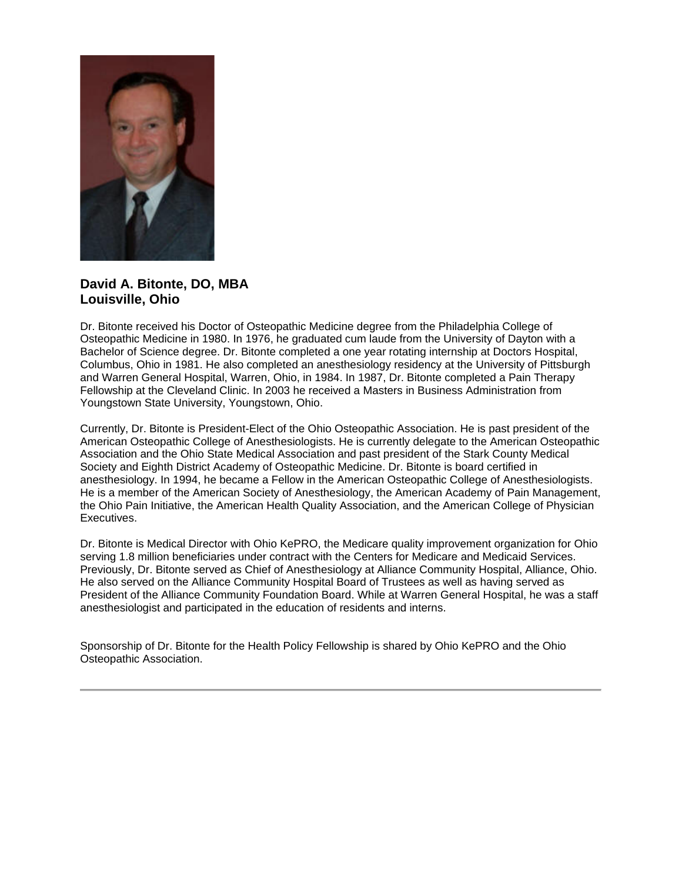

## **David A. Bitonte, DO, MBA Louisville, Ohio**

Dr. Bitonte received his Doctor of Osteopathic Medicine degree from the Philadelphia College of Osteopathic Medicine in 1980. In 1976, he graduated cum laude from the University of Dayton with a Bachelor of Science degree. Dr. Bitonte completed a one year rotating internship at Doctors Hospital, Columbus, Ohio in 1981. He also completed an anesthesiology residency at the University of Pittsburgh and Warren General Hospital, Warren, Ohio, in 1984. In 1987, Dr. Bitonte completed a Pain Therapy Fellowship at the Cleveland Clinic. In 2003 he received a Masters in Business Administration from Youngstown State University, Youngstown, Ohio.

Currently, Dr. Bitonte is President-Elect of the Ohio Osteopathic Association. He is past president of the American Osteopathic College of Anesthesiologists. He is currently delegate to the American Osteopathic Association and the Ohio State Medical Association and past president of the Stark County Medical Society and Eighth District Academy of Osteopathic Medicine. Dr. Bitonte is board certified in anesthesiology. In 1994, he became a Fellow in the American Osteopathic College of Anesthesiologists. He is a member of the American Society of Anesthesiology, the American Academy of Pain Management, the Ohio Pain Initiative, the American Health Quality Association, and the American College of Physician Executives.

Dr. Bitonte is Medical Director with Ohio KePRO, the Medicare quality improvement organization for Ohio serving 1.8 million beneficiaries under contract with the Centers for Medicare and Medicaid Services. Previously, Dr. Bitonte served as Chief of Anesthesiology at Alliance Community Hospital, Alliance, Ohio. He also served on the Alliance Community Hospital Board of Trustees as well as having served as President of the Alliance Community Foundation Board. While at Warren General Hospital, he was a staff anesthesiologist and participated in the education of residents and interns.

Sponsorship of Dr. Bitonte for the Health Policy Fellowship is shared by Ohio KePRO and the Ohio Osteopathic Association.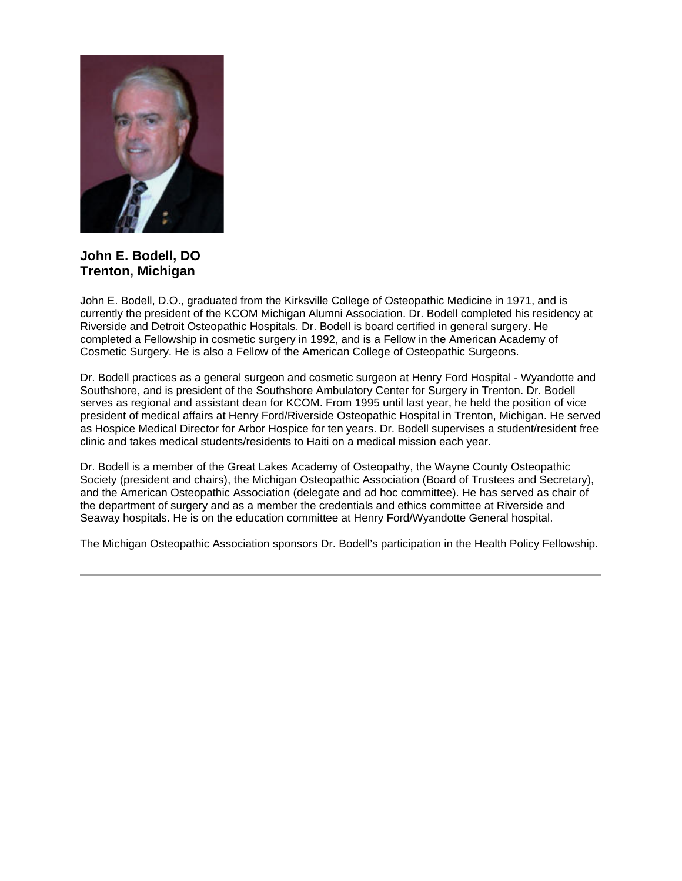

**John E. Bodell, DO Trenton, Michigan**

John E. Bodell, D.O., graduated from the Kirksville College of Osteopathic Medicine in 1971, and is currently the president of the KCOM Michigan Alumni Association. Dr. Bodell completed his residency at Riverside and Detroit Osteopathic Hospitals. Dr. Bodell is board certified in general surgery. He completed a Fellowship in cosmetic surgery in 1992, and is a Fellow in the American Academy of Cosmetic Surgery. He is also a Fellow of the American College of Osteopathic Surgeons.

Dr. Bodell practices as a general surgeon and cosmetic surgeon at Henry Ford Hospital - Wyandotte and Southshore, and is president of the Southshore Ambulatory Center for Surgery in Trenton. Dr. Bodell serves as regional and assistant dean for KCOM. From 1995 until last year, he held the position of vice president of medical affairs at Henry Ford/Riverside Osteopathic Hospital in Trenton, Michigan. He served as Hospice Medical Director for Arbor Hospice for ten years. Dr. Bodell supervises a student/resident free clinic and takes medical students/residents to Haiti on a medical mission each year.

Dr. Bodell is a member of the Great Lakes Academy of Osteopathy, the Wayne County Osteopathic Society (president and chairs), the Michigan Osteopathic Association (Board of Trustees and Secretary), and the American Osteopathic Association (delegate and ad hoc committee). He has served as chair of the department of surgery and as a member the credentials and ethics committee at Riverside and Seaway hospitals. He is on the education committee at Henry Ford/Wyandotte General hospital.

The Michigan Osteopathic Association sponsors Dr. Bodell's participation in the Health Policy Fellowship.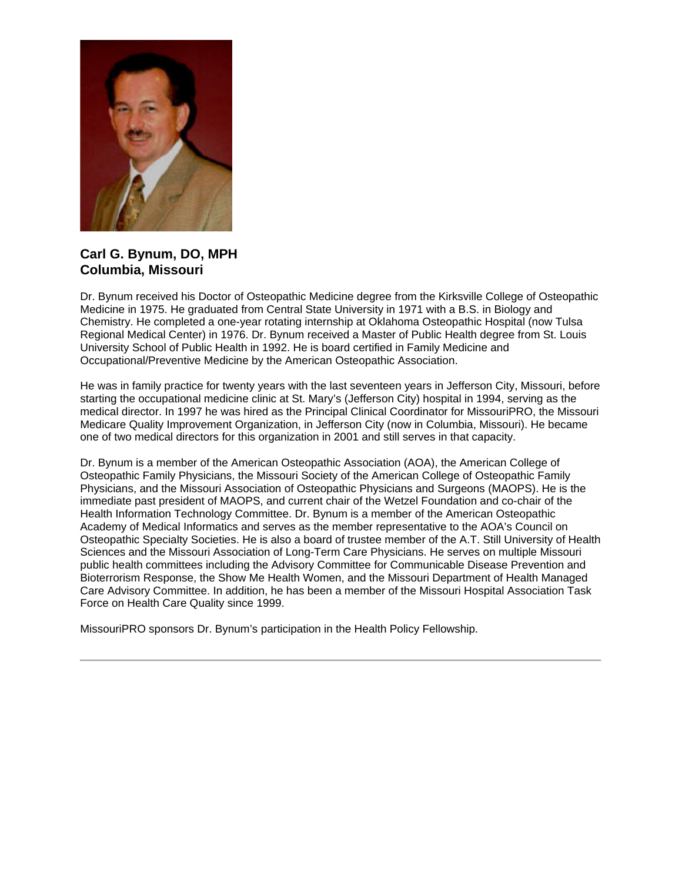

## **Carl G. Bynum, DO, MPH Columbia, Missouri**

Dr. Bynum received his Doctor of Osteopathic Medicine degree from the Kirksville College of Osteopathic Medicine in 1975. He graduated from Central State University in 1971 with a B.S. in Biology and Chemistry. He completed a one-year rotating internship at Oklahoma Osteopathic Hospital (now Tulsa Regional Medical Center) in 1976. Dr. Bynum received a Master of Public Health degree from St. Louis University School of Public Health in 1992. He is board certified in Family Medicine and Occupational/Preventive Medicine by the American Osteopathic Association.

He was in family practice for twenty years with the last seventeen years in Jefferson City, Missouri, before starting the occupational medicine clinic at St. Mary's (Jefferson City) hospital in 1994, serving as the medical director. In 1997 he was hired as the Principal Clinical Coordinator for MissouriPRO, the Missouri Medicare Quality Improvement Organization, in Jefferson City (now in Columbia, Missouri). He became one of two medical directors for this organization in 2001 and still serves in that capacity.

Dr. Bynum is a member of the American Osteopathic Association (AOA), the American College of Osteopathic Family Physicians, the Missouri Society of the American College of Osteopathic Family Physicians, and the Missouri Association of Osteopathic Physicians and Surgeons (MAOPS). He is the immediate past president of MAOPS, and current chair of the Wetzel Foundation and co-chair of the Health Information Technology Committee. Dr. Bynum is a member of the American Osteopathic Academy of Medical Informatics and serves as the member representative to the AOA's Council on Osteopathic Specialty Societies. He is also a board of trustee member of the A.T. Still University of Health Sciences and the Missouri Association of Long-Term Care Physicians. He serves on multiple Missouri public health committees including the Advisory Committee for Communicable Disease Prevention and Bioterrorism Response, the Show Me Health Women, and the Missouri Department of Health Managed Care Advisory Committee. In addition, he has been a member of the Missouri Hospital Association Task Force on Health Care Quality since 1999.

MissouriPRO sponsors Dr. Bynum's participation in the Health Policy Fellowship.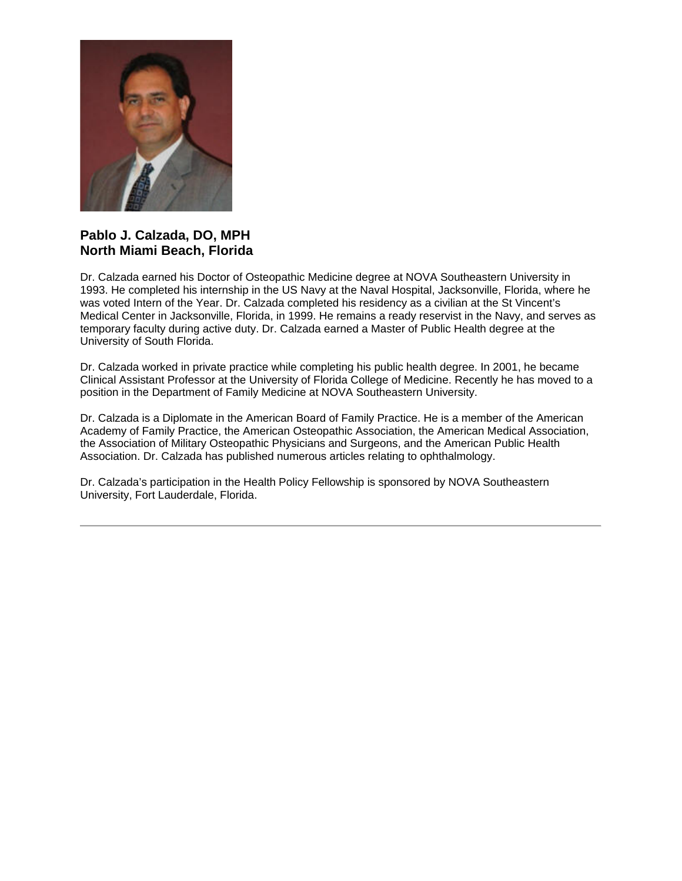

#### **Pablo J. Calzada, DO, MPH North Miami Beach, Florida**

Dr. Calzada earned his Doctor of Osteopathic Medicine degree at NOVA Southeastern University in 1993. He completed his internship in the US Navy at the Naval Hospital, Jacksonville, Florida, where he was voted Intern of the Year. Dr. Calzada completed his residency as a civilian at the St Vincent's Medical Center in Jacksonville, Florida, in 1999. He remains a ready reservist in the Navy, and serves as temporary faculty during active duty. Dr. Calzada earned a Master of Public Health degree at the University of South Florida.

Dr. Calzada worked in private practice while completing his public health degree. In 2001, he became Clinical Assistant Professor at the University of Florida College of Medicine. Recently he has moved to a position in the Department of Family Medicine at NOVA Southeastern University.

Dr. Calzada is a Diplomate in the American Board of Family Practice. He is a member of the American Academy of Family Practice, the American Osteopathic Association, the American Medical Association, the Association of Military Osteopathic Physicians and Surgeons, and the American Public Health Association. Dr. Calzada has published numerous articles relating to ophthalmology.

Dr. Calzada's participation in the Health Policy Fellowship is sponsored by NOVA Southeastern University, Fort Lauderdale, Florida.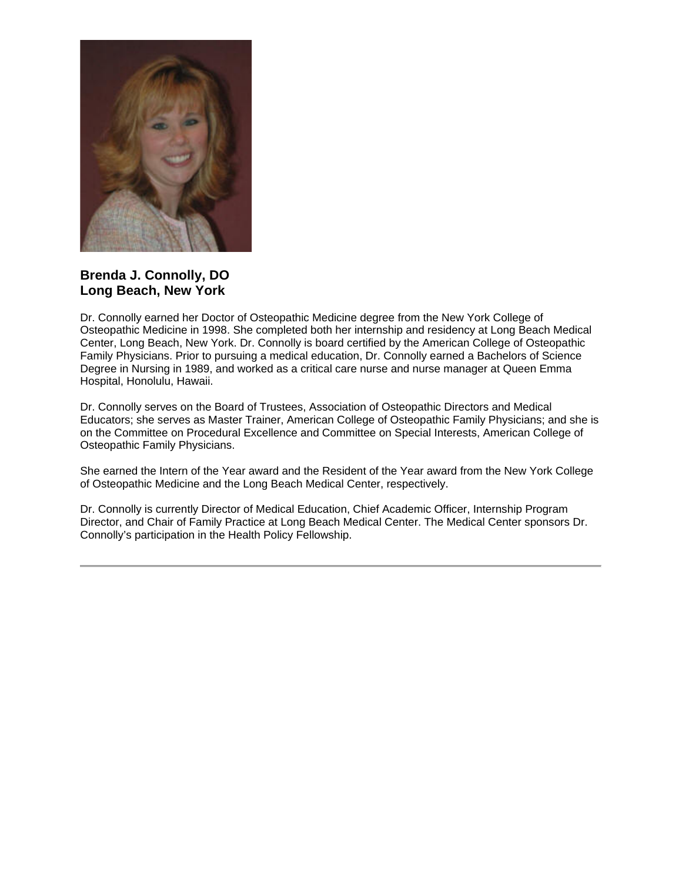

**Brenda J. Connolly, DO Long Beach, New York**

Dr. Connolly earned her Doctor of Osteopathic Medicine degree from the New York College of Osteopathic Medicine in 1998. She completed both her internship and residency at Long Beach Medical Center, Long Beach, New York. Dr. Connolly is board certified by the American College of Osteopathic Family Physicians. Prior to pursuing a medical education, Dr. Connolly earned a Bachelors of Science Degree in Nursing in 1989, and worked as a critical care nurse and nurse manager at Queen Emma Hospital, Honolulu, Hawaii.

Dr. Connolly serves on the Board of Trustees, Association of Osteopathic Directors and Medical Educators; she serves as Master Trainer, American College of Osteopathic Family Physicians; and she is on the Committee on Procedural Excellence and Committee on Special Interests, American College of Osteopathic Family Physicians.

She earned the Intern of the Year award and the Resident of the Year award from the New York College of Osteopathic Medicine and the Long Beach Medical Center, respectively.

Dr. Connolly is currently Director of Medical Education, Chief Academic Officer, Internship Program Director, and Chair of Family Practice at Long Beach Medical Center. The Medical Center sponsors Dr. Connolly's participation in the Health Policy Fellowship.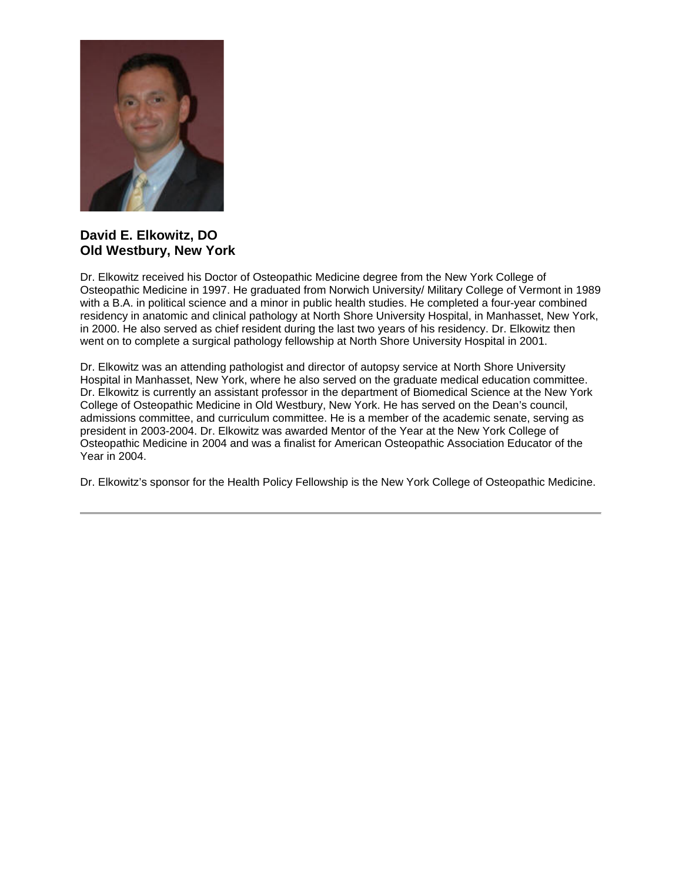

### **David E. Elkowitz, DO Old Westbury, New York**

Dr. Elkowitz received his Doctor of Osteopathic Medicine degree from the New York College of Osteopathic Medicine in 1997. He graduated from Norwich University/ Military College of Vermont in 1989 with a B.A. in political science and a minor in public health studies. He completed a four-year combined residency in anatomic and clinical pathology at North Shore University Hospital, in Manhasset, New York, in 2000. He also served as chief resident during the last two years of his residency. Dr. Elkowitz then went on to complete a surgical pathology fellowship at North Shore University Hospital in 2001.

Dr. Elkowitz was an attending pathologist and director of autopsy service at North Shore University Hospital in Manhasset, New York, where he also served on the graduate medical education committee. Dr. Elkowitz is currently an assistant professor in the department of Biomedical Science at the New York College of Osteopathic Medicine in Old Westbury, New York. He has served on the Dean's council, admissions committee, and curriculum committee. He is a member of the academic senate, serving as president in 2003-2004. Dr. Elkowitz was awarded Mentor of the Year at the New York College of Osteopathic Medicine in 2004 and was a finalist for American Osteopathic Association Educator of the Year in 2004.

Dr. Elkowitz's sponsor for the Health Policy Fellowship is the New York College of Osteopathic Medicine.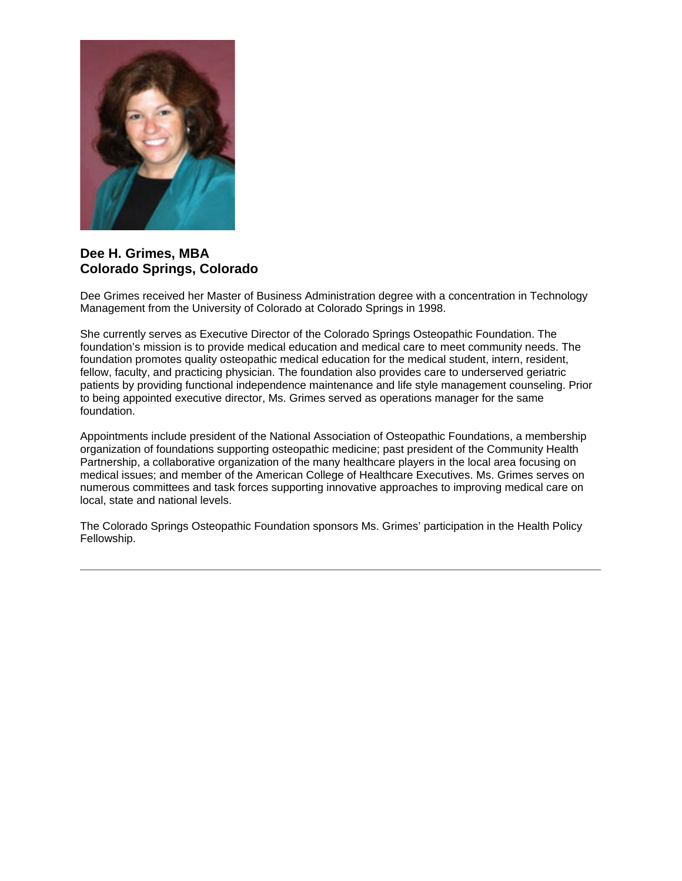

#### **Dee H. Grimes, MBA Colorado Springs, Colorado**

Dee Grimes received her Master of Business Administration degree with a concentration in Technology Management from the University of Colorado at Colorado Springs in 1998.

She currently serves as Executive Director of the Colorado Springs Osteopathic Foundation. The foundation's mission is to provide medical education and medical care to meet community needs. The foundation promotes quality osteopathic medical education for the medical student, intern, resident, fellow, faculty, and practicing physician. The foundation also provides care to underserved geriatric patients by providing functional independence maintenance and life style management counseling. Prior to being appointed executive director, Ms. Grimes served as operations manager for the same foundation.

Appointments include president of the National Association of Osteopathic Foundations, a membership organization of foundations supporting osteopathic medicine; past president of the Community Health Partnership, a collaborative organization of the many healthcare players in the local area focusing on medical issues; and member of the American College of Healthcare Executives. Ms. Grimes serves on numerous committees and task forces supporting innovative approaches to improving medical care on local, state and national levels.

The Colorado Springs Osteopathic Foundation sponsors Ms. Grimes' participation in the Health Policy Fellowship.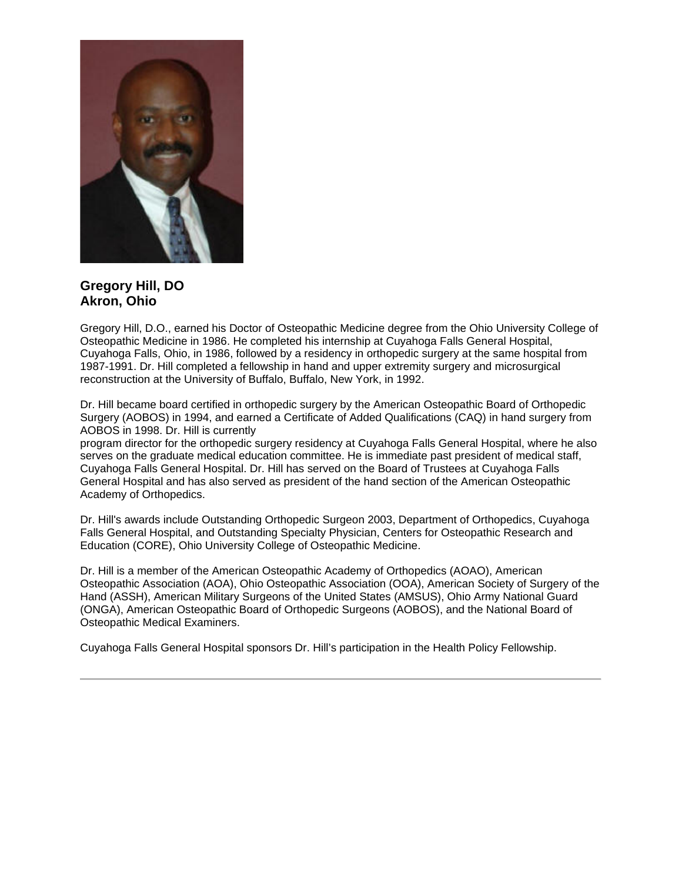

# **Gregory Hill, DO Akron, Ohio**

Gregory Hill, D.O., earned his Doctor of Osteopathic Medicine degree from the Ohio University College of Osteopathic Medicine in 1986. He completed his internship at Cuyahoga Falls General Hospital, Cuyahoga Falls, Ohio, in 1986, followed by a residency in orthopedic surgery at the same hospital from 1987-1991. Dr. Hill completed a fellowship in hand and upper extremity surgery and microsurgical reconstruction at the University of Buffalo, Buffalo, New York, in 1992.

Dr. Hill became board certified in orthopedic surgery by the American Osteopathic Board of Orthopedic Surgery (AOBOS) in 1994, and earned a Certificate of Added Qualifications (CAQ) in hand surgery from AOBOS in 1998. Dr. Hill is currently

program director for the orthopedic surgery residency at Cuyahoga Falls General Hospital, where he also serves on the graduate medical education committee. He is immediate past president of medical staff, Cuyahoga Falls General Hospital. Dr. Hill has served on the Board of Trustees at Cuyahoga Falls General Hospital and has also served as president of the hand section of the American Osteopathic Academy of Orthopedics.

Dr. Hill's awards include Outstanding Orthopedic Surgeon 2003, Department of Orthopedics, Cuyahoga Falls General Hospital, and Outstanding Specialty Physician, Centers for Osteopathic Research and Education (CORE), Ohio University College of Osteopathic Medicine.

Dr. Hill is a member of the American Osteopathic Academy of Orthopedics (AOAO), American Osteopathic Association (AOA), Ohio Osteopathic Association (OOA), American Society of Surgery of the Hand (ASSH), American Military Surgeons of the United States (AMSUS), Ohio Army National Guard (ONGA), American Osteopathic Board of Orthopedic Surgeons (AOBOS), and the National Board of Osteopathic Medical Examiners.

Cuyahoga Falls General Hospital sponsors Dr. Hill's participation in the Health Policy Fellowship.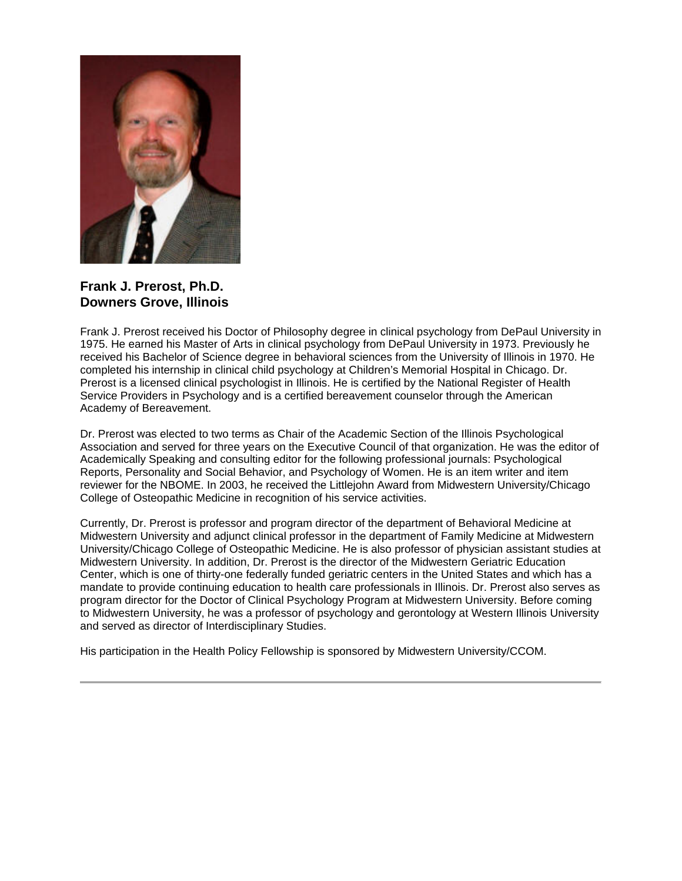

**Frank J. Prerost, Ph.D. Downers Grove, Illinois**

Frank J. Prerost received his Doctor of Philosophy degree in clinical psychology from DePaul University in 1975. He earned his Master of Arts in clinical psychology from DePaul University in 1973. Previously he received his Bachelor of Science degree in behavioral sciences from the University of Illinois in 1970. He completed his internship in clinical child psychology at Children's Memorial Hospital in Chicago. Dr. Prerost is a licensed clinical psychologist in Illinois. He is certified by the National Register of Health Service Providers in Psychology and is a certified bereavement counselor through the American Academy of Bereavement.

Dr. Prerost was elected to two terms as Chair of the Academic Section of the Illinois Psychological Association and served for three years on the Executive Council of that organization. He was the editor of Academically Speaking and consulting editor for the following professional journals: Psychological Reports, Personality and Social Behavior, and Psychology of Women. He is an item writer and item reviewer for the NBOME. In 2003, he received the Littlejohn Award from Midwestern University/Chicago College of Osteopathic Medicine in recognition of his service activities.

Currently, Dr. Prerost is professor and program director of the department of Behavioral Medicine at Midwestern University and adjunct clinical professor in the department of Family Medicine at Midwestern University/Chicago College of Osteopathic Medicine. He is also professor of physician assistant studies at Midwestern University. In addition, Dr. Prerost is the director of the Midwestern Geriatric Education Center, which is one of thirty-one federally funded geriatric centers in the United States and which has a mandate to provide continuing education to health care professionals in Illinois. Dr. Prerost also serves as program director for the Doctor of Clinical Psychology Program at Midwestern University. Before coming to Midwestern University, he was a professor of psychology and gerontology at Western Illinois University and served as director of Interdisciplinary Studies.

His participation in the Health Policy Fellowship is sponsored by Midwestern University/CCOM.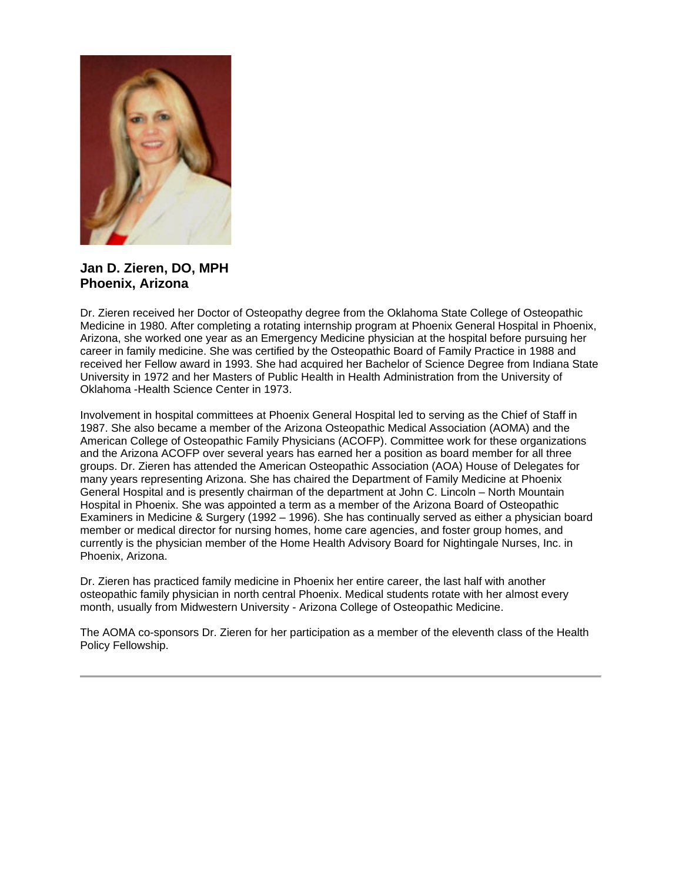

**Jan D. Zieren, DO, MPH Phoenix, Arizona**

Dr. Zieren received her Doctor of Osteopathy degree from the Oklahoma State College of Osteopathic Medicine in 1980. After completing a rotating internship program at Phoenix General Hospital in Phoenix, Arizona, she worked one year as an Emergency Medicine physician at the hospital before pursuing her career in family medicine. She was certified by the Osteopathic Board of Family Practice in 1988 and received her Fellow award in 1993. She had acquired her Bachelor of Science Degree from Indiana State University in 1972 and her Masters of Public Health in Health Administration from the University of Oklahoma -Health Science Center in 1973.

Involvement in hospital committees at Phoenix General Hospital led to serving as the Chief of Staff in 1987. She also became a member of the Arizona Osteopathic Medical Association (AOMA) and the American College of Osteopathic Family Physicians (ACOFP). Committee work for these organizations and the Arizona ACOFP over several years has earned her a position as board member for all three groups. Dr. Zieren has attended the American Osteopathic Association (AOA) House of Delegates for many years representing Arizona. She has chaired the Department of Family Medicine at Phoenix General Hospital and is presently chairman of the department at John C. Lincoln – North Mountain Hospital in Phoenix. She was appointed a term as a member of the Arizona Board of Osteopathic Examiners in Medicine & Surgery (1992 – 1996). She has continually served as either a physician board member or medical director for nursing homes, home care agencies, and foster group homes, and currently is the physician member of the Home Health Advisory Board for Nightingale Nurses, Inc. in Phoenix, Arizona.

Dr. Zieren has practiced family medicine in Phoenix her entire career, the last half with another osteopathic family physician in north central Phoenix. Medical students rotate with her almost every month, usually from Midwestern University - Arizona College of Osteopathic Medicine.

The AOMA co-sponsors Dr. Zieren for her participation as a member of the eleventh class of the Health Policy Fellowship.